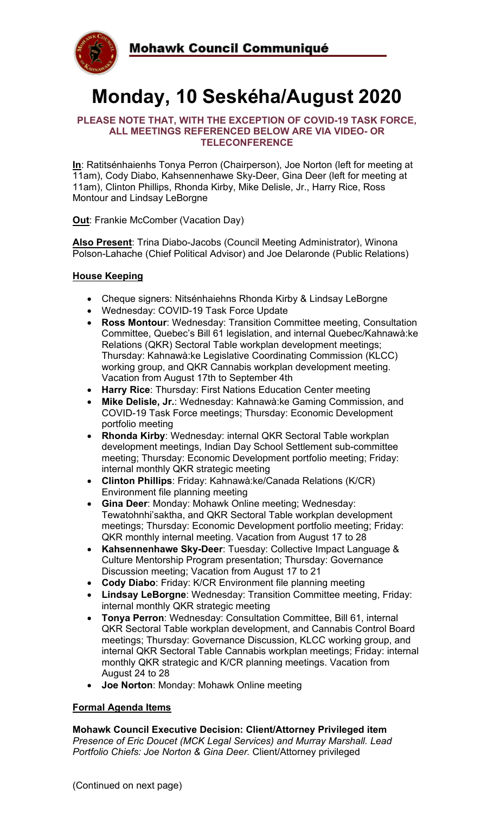

# **Monday, 10 Seskéha/August 2020**

#### **PLEASE NOTE THAT, WITH THE EXCEPTION OF COVID-19 TASK FORCE, ALL MEETINGS REFERENCED BELOW ARE VIA VIDEO- OR TELECONFERENCE**

**In**: Ratitsénhaienhs Tonya Perron (Chairperson), Joe Norton (left for meeting at 11am), Cody Diabo, Kahsennenhawe Sky-Deer, Gina Deer (left for meeting at 11am), Clinton Phillips, Rhonda Kirby, Mike Delisle, Jr., Harry Rice, Ross Montour and Lindsay LeBorgne

#### **Out**: Frankie McComber (Vacation Day)

**Also Present**: Trina Diabo-Jacobs (Council Meeting Administrator), Winona Polson-Lahache (Chief Political Advisor) and Joe Delaronde (Public Relations)

#### **House Keeping**

- Cheque signers: Nitsénhaiehns Rhonda Kirby & Lindsay LeBorgne
- Wednesday: COVID-19 Task Force Update
- **Ross Montour**: Wednesday: Transition Committee meeting, Consultation Committee, Quebec's Bill 61 legislation, and internal Quebec/Kahnawà:ke Relations (QKR) Sectoral Table workplan development meetings; Thursday: Kahnawà:ke Legislative Coordinating Commission (KLCC) working group, and QKR Cannabis workplan development meeting. Vacation from August 17th to September 4th
- **Harry Rice**: Thursday: First Nations Education Center meeting
- **Mike Delisle, Jr.**: Wednesday: Kahnawà:ke Gaming Commission, and COVID-19 Task Force meetings; Thursday: Economic Development portfolio meeting
- **Rhonda Kirby**: Wednesday: internal QKR Sectoral Table workplan development meetings, Indian Day School Settlement sub-committee meeting; Thursday: Economic Development portfolio meeting; Friday: internal monthly QKR strategic meeting
- **Clinton Phillips**: Friday: Kahnawà:ke/Canada Relations (K/CR) Environment file planning meeting
- **Gina Deer**: Monday: Mohawk Online meeting; Wednesday: Tewatohnhi'saktha, and QKR Sectoral Table workplan development meetings; Thursday: Economic Development portfolio meeting; Friday: QKR monthly internal meeting. Vacation from August 17 to 28
- **Kahsennenhawe Sky-Deer**: Tuesday: Collective Impact Language & Culture Mentorship Program presentation; Thursday: Governance Discussion meeting; Vacation from August 17 to 21
- **Cody Diabo**: Friday: K/CR Environment file planning meeting
- **Lindsay LeBorgne**: Wednesday: Transition Committee meeting, Friday: internal monthly QKR strategic meeting
- **Tonya Perron**: Wednesday: Consultation Committee, Bill 61, internal QKR Sectoral Table workplan development, and Cannabis Control Board meetings; Thursday: Governance Discussion, KLCC working group, and internal QKR Sectoral Table Cannabis workplan meetings; Friday: internal monthly QKR strategic and K/CR planning meetings. Vacation from August 24 to 28
- **Joe Norton**: Monday: Mohawk Online meeting

### **Formal Agenda Items**

**Mohawk Council Executive Decision: Client/Attorney Privileged item** *Presence of Eric Doucet (MCK Legal Services) and Murray Marshall. Lead Portfolio Chiefs: Joe Norton & Gina Deer.* Client/Attorney privileged